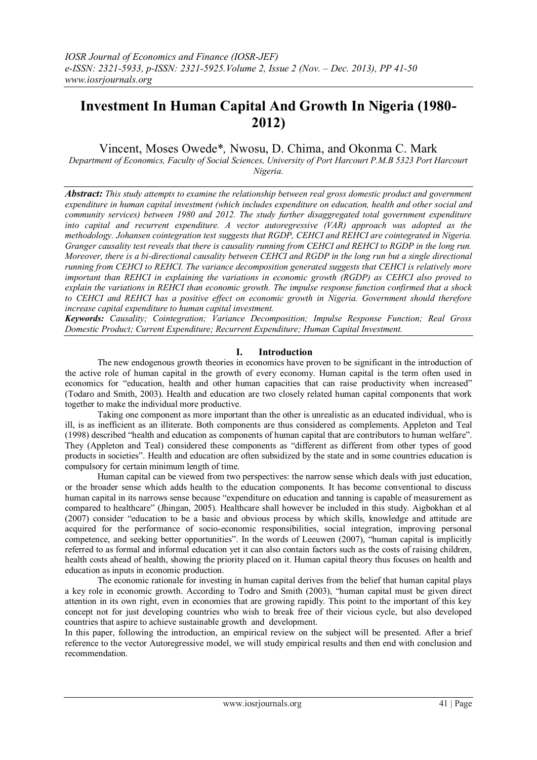# **Investment In Human Capital And Growth In Nigeria (1980- 2012)**

Vincent, Moses Owede\**,* Nwosu, D. Chima, and Okonma C. Mark

*Department of Economics, Faculty of Social Sciences, University of Port Harcourt P.M.B 5323 Port Harcourt Nigeria.*

*Abstract: This study attempts to examine the relationship between real gross domestic product and government expenditure in human capital investment (which includes expenditure on education, health and other social and community services) between 1980 and 2012. The study further disaggregated total government expenditure into capital and recurrent expenditure. A vector autoregressive (VAR) approach was adopted as the methodology. Johansen cointegration test suggests that RGDP, CEHCI and REHCI are cointegrated in Nigeria. Granger causality test reveals that there is causality running from CEHCI and REHCI to RGDP in the long run. Moreover, there is a bi-directional causality between CEHCI and RGDP in the long run but a single directional running from CEHCI to REHCI. The variance decomposition generated suggests that CEHCI is relatively more important than REHCI in explaining the variations in economic growth (RGDP) as CEHCI also proved to explain the variations in REHCI than economic growth. The impulse response function confirmed that a shock to CEHCI and REHCI has a positive effect on economic growth in Nigeria. Government should therefore increase capital expenditure to human capital investment.*

*Keywords: Causality; Cointegration; Variance Decomposition; Impulse Response Function; Real Gross Domestic Product; Current Expenditure; Recurrent Expenditure; Human Capital Investment.*

# **I. Introduction**

The new endogenous growth theories in economics have proven to be significant in the introduction of the active role of human capital in the growth of every economy. Human capital is the term often used in economics for "education, health and other human capacities that can raise productivity when increased" (Todaro and Smith, 2003). Health and education are two closely related human capital components that work together to make the individual more productive.

Taking one component as more important than the other is unrealistic as an educated individual, who is ill, is as inefficient as an illiterate. Both components are thus considered as complements. Appleton and Teal (1998) described "health and education as components of human capital that are contributors to human welfare". They (Appleton and Teal) considered these components as "different as different from other types of good products in societies". Health and education are often subsidized by the state and in some countries education is compulsory for certain minimum length of time.

Human capital can be viewed from two perspectives: the narrow sense which deals with just education, or the broader sense which adds health to the education components. It has become conventional to discuss human capital in its narrows sense because "expenditure on education and tanning is capable of measurement as compared to healthcare" (Jhingan, 2005). Healthcare shall however be included in this study. Aigbokhan et al (2007) consider "education to be a basic and obvious process by which skills, knowledge and attitude are acquired for the performance of socio-economic responsibilities, social integration, improving personal competence, and seeking better opportunities". In the words of Leeuwen (2007), "human capital is implicitly referred to as formal and informal education yet it can also contain factors such as the costs of raising children, health costs ahead of health, showing the priority placed on it. Human capital theory thus focuses on health and education as inputs in economic production.

The economic rationale for investing in human capital derives from the belief that human capital plays a key role in economic growth. According to Todro and Smith (2003), "human capital must be given direct attention in its own right, even in economies that are growing rapidly. This point to the important of this key concept not for just developing countries who wish to break free of their vicious cycle, but also developed countries that aspire to achieve sustainable growth and development.

In this paper, following the introduction, an empirical review on the subject will be presented. After a brief reference to the vector Autoregressive model, we will study empirical results and then end with conclusion and recommendation.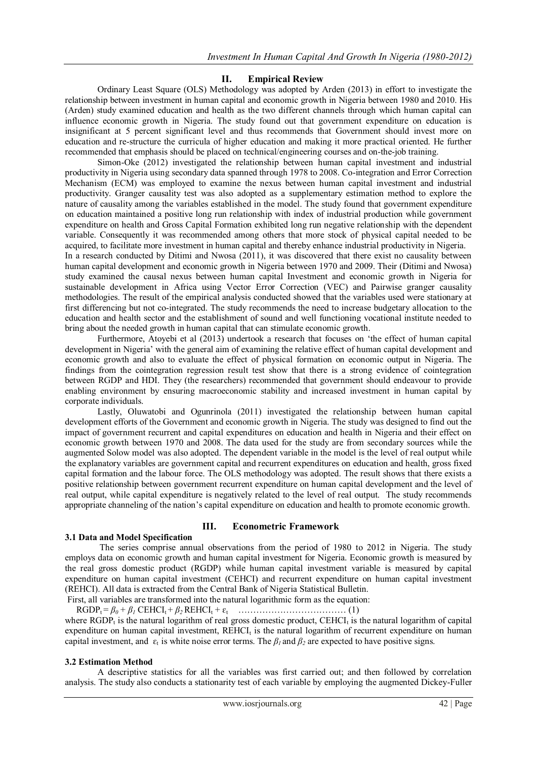# **II. Empirical Review**

Ordinary Least Square (OLS) Methodology was adopted by Arden (2013) in effort to investigate the relationship between investment in human capital and economic growth in Nigeria between 1980 and 2010. His (Arden) study examined education and health as the two different channels through which human capital can influence economic growth in Nigeria. The study found out that government expenditure on education is insignificant at 5 percent significant level and thus recommends that Government should invest more on education and re-structure the curricula of higher education and making it more practical oriented. He further recommended that emphasis should be placed on technical/engineering courses and on-the-job training.

Simon-Oke (2012) investigated the relationship between human capital investment and industrial productivity in Nigeria using secondary data spanned through 1978 to 2008. Co-integration and Error Correction Mechanism (ECM) was employed to examine the nexus between human capital investment and industrial productivity. Granger causality test was also adopted as a supplementary estimation method to explore the nature of causality among the variables established in the model. The study found that government expenditure on education maintained a positive long run relationship with index of industrial production while government expenditure on health and Gross Capital Formation exhibited long run negative relationship with the dependent variable. Consequently it was recommended among others that more stock of physical capital needed to be acquired, to facilitate more investment in human capital and thereby enhance industrial productivity in Nigeria.

In a research conducted by Ditimi and Nwosa (2011), it was discovered that there exist no causality between human capital development and economic growth in Nigeria between 1970 and 2009. Their (Ditimi and Nwosa) study examined the causal nexus between human capital Investment and economic growth in Nigeria for sustainable development in Africa using Vector Error Correction (VEC) and Pairwise granger causality methodologies. The result of the empirical analysis conducted showed that the variables used were stationary at first differencing but not co-integrated. The study recommends the need to increase budgetary allocation to the education and health sector and the establishment of sound and well functioning vocational institute needed to bring about the needed growth in human capital that can stimulate economic growth.

Furthermore, Atoyebi et al (2013) undertook a research that focuses on "the effect of human capital development in Nigeria" with the general aim of examining the relative effect of human capital development and economic growth and also to evaluate the effect of physical formation on economic output in Nigeria. The findings from the cointegration regression result test show that there is a strong evidence of cointegration between RGDP and HDI. They (the researchers) recommended that government should endeavour to provide enabling environment by ensuring macroeconomic stability and increased investment in human capital by corporate individuals.

Lastly, Oluwatobi and Ogunrinola (2011) investigated the relationship between human capital development efforts of the Government and economic growth in Nigeria. The study was designed to find out the impact of government recurrent and capital expenditures on education and health in Nigeria and their effect on economic growth between 1970 and 2008. The data used for the study are from secondary sources while the augmented Solow model was also adopted. The dependent variable in the model is the level of real output while the explanatory variables are government capital and recurrent expenditures on education and health, gross fixed capital formation and the labour force. The OLS methodology was adopted. The result shows that there exists a positive relationship between government recurrent expenditure on human capital development and the level of real output, while capital expenditure is negatively related to the level of real output. The study recommends appropriate channeling of the nation"s capital expenditure on education and health to promote economic growth.

# **3.1 Data and Model Specification**

# **III. Econometric Framework**

The series comprise annual observations from the period of 1980 to 2012 in Nigeria. The study employs data on economic growth and human capital investment for Nigeria. Economic growth is measured by the real gross domestic product (RGDP) while human capital investment variable is measured by capital expenditure on human capital investment (CEHCI) and recurrent expenditure on human capital investment (REHCI). All data is extracted from the Central Bank of Nigeria Statistical Bulletin. First, all variables are transformed into the natural logarithmic form as the equation:

 RGDPt = *β0 + β<sup>1</sup>* CEHCI<sup>t</sup> + *β2* REHCI<sup>t</sup> + ɛt ……………………………… (1) where RGDP<sub>t</sub> is the natural logarithm of real gross domestic product, CEHCI<sub>t</sub> is the natural logarithm of capital expenditure on human capital investment, REHCI<sub>t</sub> is the natural logarithm of recurrent expenditure on human capital investment, and  $\varepsilon_t$  is white noise error terms. The  $\beta_l$  and  $\beta_2$  are expected to have positive signs.

#### **3.2 Estimation Method**

A descriptive statistics for all the variables was first carried out; and then followed by correlation analysis. The study also conducts a stationarity test of each variable by employing the augmented Dickey-Fuller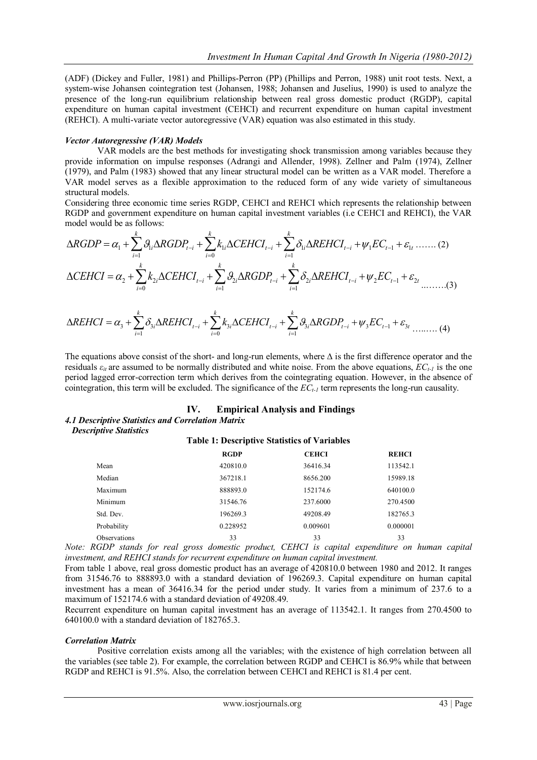(ADF) (Dickey and Fuller, 1981) and Phillips-Perron (PP) (Phillips and Perron, 1988) unit root tests. Next, a system-wise Johansen cointegration test (Johansen, 1988; Johansen and Juselius, 1990) is used to analyze the presence of the long-run equilibrium relationship between real gross domestic product (RGDP), capital expenditure on human capital investment (CEHCI) and recurrent expenditure on human capital investment (REHCI). A multi-variate vector autoregressive (VAR) equation was also estimated in this study.

#### *Vector Autoregressive (VAR) Models*

VAR models are the best methods for investigating shock transmission among variables because they provide information on impulse responses (Adrangi and Allender, 1998). Zellner and Palm (1974), Zellner (1979), and Palm (1983) showed that any linear structural model can be written as a VAR model. Therefore a VAR model serves as a flexible approximation to the reduced form of any wide variety of simultaneous structural models.

Considering three economic time series RGDP, CEHCI and REHCI which represents the relationship between RGDP and government expenditure on human capital investment variables (i.e CEHCI and REHCI), the VAR *k k k* model would be as follows: by posidering three economic time series RGDP, CEHCI and REHCI which represents the relationship betwer<br> *RGDP* and government expenditure on human capital investment variables (i.e CEHCI and REHCI), the VA odel would be

VAR model serves as a flexible approximation to the reduced form of any wide variety of simultaneous structural models.  
\nConsidering three economic time series RGBP, CEHCI and REHCI which represents the relationship between  
\nRGDP and government expenditure on human capital investment variables (i.e CEHCI and REHCI), the VAF  
\nmodel would be as follows:  
\n
$$
\Delta RGDP = \alpha_1 + \sum_{i=1}^{k} \beta_{1i} \Delta RGDP_{t-i} + \sum_{i=0}^{k} k_{1i} \Delta CEHCI_{t-i} + \sum_{i=1}^{k} \delta_{1i} \Delta REHCI_{t-i} + \psi_1 EC_{t-1} + \varepsilon_{1t} \dots \dots (2)
$$
\n
$$
\Delta CEHCI = \alpha_2 + \sum_{i=0}^{k} k_{2i} \Delta CEHCI_{t-i} + \sum_{i=1}^{k} \beta_{2i} \Delta RGDP_{t-i} + \sum_{i=1}^{k} \delta_{2i} \Delta REHCI_{t-i} + \psi_2 EC_{t-1} + \varepsilon_{2t} \dots \dots (3)
$$
\n
$$
\Delta REHCI = \alpha_3 + \sum_{i=1}^{k} \delta_{3i} \Delta REHCI_{t-i} + \sum_{i=0}^{k} k_{3i} \Delta CEHCI_{t-i} + \sum_{i=1}^{k} \beta_{3i} \Delta RGDP_{t-i} + \psi_3 EC_{t-1} + \varepsilon_{3t} \dots \dots (4)
$$

$$
\Delta REHCI = \alpha_3 + \sum_{i=1}^{k} \delta_{3i} \Delta REHCI_{t-i} + \sum_{i=0}^{k} k_{3i} \Delta CEHCI_{t-i} + \sum_{i=1}^{k} \beta_{3i} \Delta RGBICI_{t-i} + \sum_{i=1}^{k} \beta_{3i} \Delta RGBICI_{t-i} + \sum_{i=1}^{k} \beta_{3i} \Delta RGBIP_{t-i} + \psi_3 EC_{t-1} + \varepsilon_{3t} \dots \dots (4)
$$

The equations above consist of the short- and long-run elements, where  $\Delta$  is the first difference operator and the residuals *εit* are assumed to be normally distributed and white noise. From the above equations, *ECt-1* is the one period lagged error-correction term which derives from the cointegrating equation. However, in the absence of cointegration, this term will be excluded. The significance of the *ECt-1* term represents the long-run causality.

#### **IV. Empirical Analysis and Findings**

#### *4.1 Descriptive Statistics and Correlation Matrix Descriptive Statistics*

# **Table 1: Descriptive Statistics of Variables**

|              | <b>RGDP</b> | <b>CEHCI</b>                                                                        | <b>REHCI</b> |
|--------------|-------------|-------------------------------------------------------------------------------------|--------------|
| Mean         | 420810.0    | 36416.34                                                                            | 113542.1     |
| Median       | 367218.1    | 8656.200                                                                            | 15989.18     |
| Maximum      | 888893.0    | 152174.6                                                                            | 640100.0     |
| Minimum      | 31546.76    | 237.6000                                                                            | 270.4500     |
| Std. Dev.    | 196269.3    | 49208.49                                                                            | 182765.3     |
| Probability  | 0.228952    | 0.009601                                                                            | 0.000001     |
| Observations | 33          | 33                                                                                  | 33           |
|              |             | $DCDD$ stands for used oness demostic product. CELICI is conital sympathypes on $D$ |              |

*Note: RGDP stands for real gross domestic product, CEHCI is capital expenditure on human capital investment, and REHCI stands for recurrent expenditure on human capital investment.*

From table 1 above, real gross domestic product has an average of 420810.0 between 1980 and 2012. It ranges from 31546.76 to 888893.0 with a standard deviation of 196269.3. Capital expenditure on human capital investment has a mean of 36416.34 for the period under study. It varies from a minimum of 237.6 to a maximum of 152174.6 with a standard deviation of 49208.49.

Recurrent expenditure on human capital investment has an average of 113542.1. It ranges from 270.4500 to 640100.0 with a standard deviation of 182765.3.

#### *Correlation Matrix*

Positive correlation exists among all the variables; with the existence of high correlation between all the variables (see table 2). For example, the correlation between RGDP and CEHCI is 86.9% while that between RGDP and REHCI is 91.5%. Also, the correlation between CEHCI and REHCI is 81.4 per cent.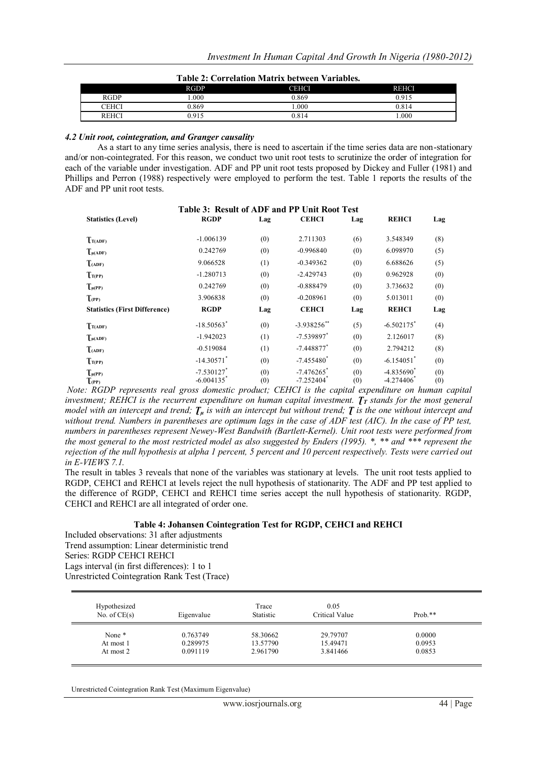| Table 2: Correlation Matrix between Variables. |  |
|------------------------------------------------|--|
|------------------------------------------------|--|

|              | <b>RGDP</b> | CEHCI | <b>REHCI</b> |
|--------------|-------------|-------|--------------|
| <b>RGDP</b>  | .000.       | 0.869 | 0.915        |
| CEHCI        | 0.869       | .000  | 0.814        |
| <b>REHCI</b> | 0.915       | 0.814 | .000         |

#### *4.2 Unit root, cointegration, and Granger causality*

As a start to any time series analysis, there is need to ascertain if the time series data are non-stationary and/or non-cointegrated. For this reason, we conduct two unit root tests to scrutinize the order of integration for each of the variable under investigation. ADF and PP unit root tests proposed by Dickey and Fuller (1981) and Phillips and Perron (1988) respectively were employed to perform the test. Table 1 reports the results of the ADF and PP unit root tests.

|                                      | Table 3: Result of ADF and PP Unit Root Test         |            |                                         |            |                                           |            |
|--------------------------------------|------------------------------------------------------|------------|-----------------------------------------|------------|-------------------------------------------|------------|
| <b>Statistics (Level)</b>            | <b>RGDP</b>                                          | Lag        | <b>CEHCI</b>                            | Lag        | <b>REHCI</b>                              | Lag        |
| T(T(ADF))                            | $-1.006139$                                          | (0)        | 2.711303                                | (6)        | 3.548349                                  | (8)        |
| $T_{\mu(ADF)}$                       | 0.242769                                             | (0)        | $-0.996840$                             | (0)        | 6.098970                                  | (5)        |
| T(ADF)                               | 9.066528                                             | (1)        | $-0.349362$                             | (0)        | 6.688626                                  | (5)        |
| Tr(PP)                               | $-1.280713$                                          | (0)        | $-2.429743$                             | (0)        | 0.962928                                  | (0)        |
| $T_{\mu(PP)}$                        | 0.242769                                             | (0)        | $-0.888479$                             | (0)        | 3.736632                                  | (0)        |
| $T_{(PP)}$                           | 3.906838                                             | (0)        | $-0.208961$                             | (0)        | 5.013011                                  | (0)        |
| <b>Statistics (First Difference)</b> | <b>RGDP</b>                                          | Lag        | <b>CEHCI</b>                            | Lag        | <b>REHCI</b>                              | Lag        |
| $T_{T(ADF)}$                         | $-18.50563$ <sup>*</sup>                             | (0)        | $-3.938256$ **                          | (5)        | $-6.502175$ <sup>*</sup>                  | (4)        |
| $\int_{\mu(ADF)}$                    | $-1.942023$                                          | (1)        | $-7.539897$ <sup>*</sup>                | (0)        | 2.126017                                  | (8)        |
| $T_{(ADF)}$                          | $-0.519084$                                          | (1)        | $-7.448877$ <sup>*</sup>                | (0)        | 2.794212                                  | (8)        |
| T(T(PP))                             | $-14.30571$ <sup>*</sup>                             | (0)        | $-7.455480^*$                           | (0)        | $-6.154051$ <sup>*</sup>                  | (0)        |
| $T_{\mu(PP)}$<br>$T_{(PP)}$          | $-7.530127$ <sup>*</sup><br>$-6.004135$ <sup>*</sup> | (0)<br>(0) | $-7.476265$ <sup>*</sup><br>$-7.252404$ | (0)<br>(0) | $-4.835690^*$<br>$-4.274406$ <sup>*</sup> | (0)<br>(0) |

*Note: RGDP represents real gross domestic product; CEHCI is the capital expenditure on human capital investment; REHCI is the recurrent expenditure on human capital investment.*  $T<sub>T</sub>$  *stands for the most general model with an intercept and trend;*  $T_{\mu}$  *is with an intercept but without trend;*  $T$  *is the one without intercept and without trend. Numbers in parentheses are optimum lags in the case of ADF test (AIC). In the case of PP test, numbers in parentheses represent Newey-West Bandwith (Bartlett-Kernel). Unit root tests were performed from the most general to the most restricted model as also suggested by Enders (1995). \*, \*\* and \*\*\* represent the rejection of the null hypothesis at alpha 1 percent, 5 percent and 10 percent respectively. Tests were carried out in E-VIEWS 7.1.*

The result in tables 3 reveals that none of the variables was stationary at levels. The unit root tests applied to RGDP, CEHCI and REHCI at levels reject the null hypothesis of stationarity. The ADF and PP test applied to the difference of RGDP, CEHCI and REHCI time series accept the null hypothesis of stationarity. RGDP, CEHCI and REHCI are all integrated of order one.

#### **Table 4: Johansen Cointegration Test for RGDP, CEHCI and REHCI**

Included observations: 31 after adjustments Trend assumption: Linear deterministic trend Series: RGDP CEHCI REHCI Lags interval (in first differences): 1 to 1 Unrestricted Cointegration Rank Test (Trace)

| Hypothesized<br>No. of $CE(s)$ | Eigenvalue | Trace<br>Statistic | 0.05<br>Critical Value | $Prob.**$ |
|--------------------------------|------------|--------------------|------------------------|-----------|
| None *                         | 0.763749   | 58.30662           | 29.79707               | 0.0000    |
| At most 1                      | 0.289975   | 13.57790           | 15.49471               | 0.0953    |
| At most 2                      | 0.091119   | 2.961790           | 3.841466               | 0.0853    |

Unrestricted Cointegration Rank Test (Maximum Eigenvalue)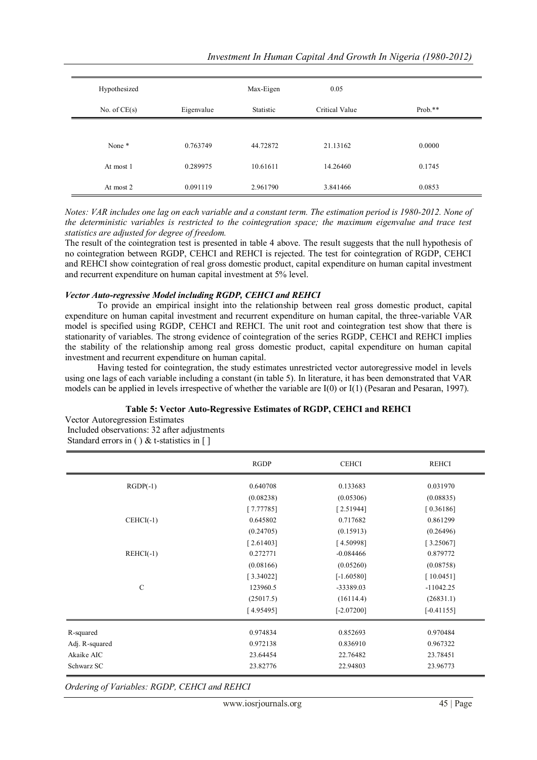| Investment In Human Capital And Growth In Nigeria (1980-2012) |  |  |  |
|---------------------------------------------------------------|--|--|--|
|---------------------------------------------------------------|--|--|--|

| Hypothesized   |            | Max-Eigen | 0.05           |           |
|----------------|------------|-----------|----------------|-----------|
| No. of $CE(s)$ | Eigenvalue | Statistic | Critical Value | $Prob.**$ |
|                |            |           |                |           |
| None *         | 0.763749   | 44.72872  | 21.13162       | 0.0000    |
| At most 1      | 0.289975   | 10.61611  | 14.26460       | 0.1745    |
| At most 2      | 0.091119   | 2.961790  | 3.841466       | 0.0853    |

*Notes: VAR includes one lag on each variable and a constant term. The estimation period is 1980-2012. None of the deterministic variables is restricted to the cointegration space; the maximum eigenvalue and trace test statistics are adjusted for degree of freedom.* 

The result of the cointegration test is presented in table 4 above. The result suggests that the null hypothesis of no cointegration between RGDP, CEHCI and REHCI is rejected. The test for cointegration of RGDP, CEHCI and REHCI show cointegration of real gross domestic product, capital expenditure on human capital investment and recurrent expenditure on human capital investment at 5% level.

#### *Vector Auto-regressive Model including RGDP, CEHCI and REHCI*

To provide an empirical insight into the relationship between real gross domestic product, capital expenditure on human capital investment and recurrent expenditure on human capital, the three-variable VAR model is specified using RGDP, CEHCI and REHCI. The unit root and cointegration test show that there is stationarity of variables. The strong evidence of cointegration of the series RGDP, CEHCI and REHCI implies the stability of the relationship among real gross domestic product, capital expenditure on human capital investment and recurrent expenditure on human capital.

Having tested for cointegration, the study estimates unrestricted vector autoregressive model in levels using one lags of each variable including a constant (in table 5). In literature, it has been demonstrated that VAR models can be applied in levels irrespective of whether the variable are I(0) or I(1) (Pesaran and Pesaran, 1997).

# **Table 5: Vector Auto-Regressive Estimates of RGDP, CEHCI and REHCI**

Vector Autoregression Estimates Included observations: 32 after adjustments Standard errors in ( ) & t-statistics in [ ]

|                | <b>RGDP</b> | <b>CEHCI</b> | <b>REHCI</b> |
|----------------|-------------|--------------|--------------|
| $RGDP(-1)$     | 0.640708    | 0.133683     | 0.031970     |
|                | (0.08238)   | (0.05306)    | (0.08835)    |
|                | [7.77785]   | [2.51944]    | [0.36186]    |
| $CEHCI(-1)$    | 0.645802    | 0.717682     | 0.861299     |
|                | (0.24705)   | (0.15913)    | (0.26496)    |
|                | [2.61403]   | [4.50998]    | [3.25067]    |
| $REHCI(-1)$    | 0.272771    | $-0.084466$  | 0.879772     |
|                | (0.08166)   | (0.05260)    | (0.08758)    |
|                | [3.34022]   | $[-1.60580]$ | [10.0451]    |
| $\mathcal{C}$  | 123960.5    | -33389.03    | $-11042.25$  |
|                | (25017.5)   | (16114.4)    | (26831.1)    |
|                | [4.95495]   | $[-2.07200]$ | $[-0.41155]$ |
| R-squared      | 0.974834    | 0.852693     | 0.970484     |
| Adj. R-squared | 0.972138    | 0.836910     | 0.967322     |
| Akaike AIC     | 23.64454    | 22.76482     | 23.78451     |
| Schwarz SC     | 23.82776    | 22.94803     | 23.96773     |

*Ordering of Variables: RGDP, CEHCI and REHCI*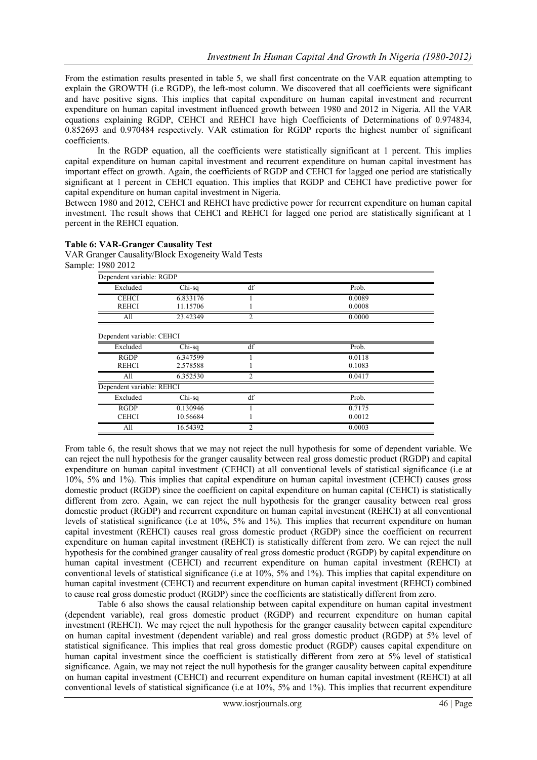From the estimation results presented in table 5, we shall first concentrate on the VAR equation attempting to explain the GROWTH (i.e RGDP), the left-most column. We discovered that all coefficients were significant and have positive signs. This implies that capital expenditure on human capital investment and recurrent expenditure on human capital investment influenced growth between 1980 and 2012 in Nigeria. All the VAR equations explaining RGDP, CEHCI and REHCI have high Coefficients of Determinations of 0.974834, 0.852693 and 0.970484 respectively. VAR estimation for RGDP reports the highest number of significant coefficients.

In the RGDP equation, all the coefficients were statistically significant at 1 percent. This implies capital expenditure on human capital investment and recurrent expenditure on human capital investment has important effect on growth. Again, the coefficients of RGDP and CEHCI for lagged one period are statistically significant at 1 percent in CEHCI equation. This implies that RGDP and CEHCI have predictive power for capital expenditure on human capital investment in Nigeria.

Between 1980 and 2012, CEHCI and REHCI have predictive power for recurrent expenditure on human capital investment. The result shows that CEHCI and REHCI for lagged one period are statistically significant at 1 percent in the REHCI equation.

#### **Table 6: VAR-Granger Causality Test**

VAR Granger Causality/Block Exogeneity Wald Tests Sample: 1980 2012

| Dependent variable: RGDP  |          |                |        |
|---------------------------|----------|----------------|--------|
| Excluded                  | $Chi-sq$ | df             | Prob.  |
| <b>CEHCI</b>              | 6.833176 |                | 0.0089 |
| <b>REHCI</b>              | 11.15706 |                | 0.0008 |
| All                       | 23.42349 | $\overline{c}$ | 0.0000 |
| Dependent variable: CEHCI |          |                |        |
| Excluded                  | Chi-sq   | df             | Prob.  |
| <b>RGDP</b>               | 6.347599 |                | 0.0118 |
| <b>REHCI</b>              | 2.578588 |                | 0.1083 |
| All                       | 6.352530 | $\mathcal{D}$  | 0.0417 |
| Dependent variable: REHCI |          |                |        |
| Excluded                  | $Chi-sq$ | df             | Prob.  |
| <b>RGDP</b>               | 0.130946 |                | 0.7175 |
| <b>CEHCI</b>              | 10.56684 |                | 0.0012 |
| All                       | 16.54392 | $\overline{c}$ | 0.0003 |

From table 6, the result shows that we may not reject the null hypothesis for some of dependent variable. We can reject the null hypothesis for the granger causality between real gross domestic product (RGDP) and capital expenditure on human capital investment (CEHCI) at all conventional levels of statistical significance (i.e at 10%, 5% and 1%). This implies that capital expenditure on human capital investment (CEHCI) causes gross domestic product (RGDP) since the coefficient on capital expenditure on human capital (CEHCI) is statistically different from zero. Again, we can reject the null hypothesis for the granger causality between real gross domestic product (RGDP) and recurrent expenditure on human capital investment (REHCI) at all conventional levels of statistical significance (i.e at 10%, 5% and 1%). This implies that recurrent expenditure on human capital investment (REHCI) causes real gross domestic product (RGDP) since the coefficient on recurrent expenditure on human capital investment (REHCI) is statistically different from zero. We can reject the null hypothesis for the combined granger causality of real gross domestic product (RGDP) by capital expenditure on human capital investment (CEHCI) and recurrent expenditure on human capital investment (REHCI) at conventional levels of statistical significance (i.e at 10%, 5% and 1%). This implies that capital expenditure on human capital investment (CEHCI) and recurrent expenditure on human capital investment (REHCI) combined to cause real gross domestic product (RGDP) since the coefficients are statistically different from zero.

Table 6 also shows the causal relationship between capital expenditure on human capital investment (dependent variable), real gross domestic product (RGDP) and recurrent expenditure on human capital investment (REHCI). We may reject the null hypothesis for the granger causality between capital expenditure on human capital investment (dependent variable) and real gross domestic product (RGDP) at 5% level of statistical significance. This implies that real gross domestic product (RGDP) causes capital expenditure on human capital investment since the coefficient is statistically different from zero at 5% level of statistical significance. Again, we may not reject the null hypothesis for the granger causality between capital expenditure on human capital investment (CEHCI) and recurrent expenditure on human capital investment (REHCI) at all conventional levels of statistical significance (i.e at 10%, 5% and 1%). This implies that recurrent expenditure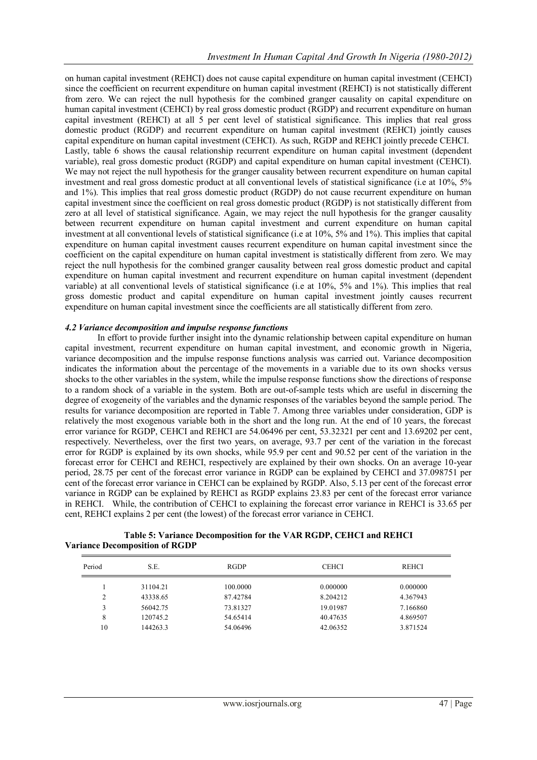on human capital investment (REHCI) does not cause capital expenditure on human capital investment (CEHCI) since the coefficient on recurrent expenditure on human capital investment (REHCI) is not statistically different from zero. We can reject the null hypothesis for the combined granger causality on capital expenditure on human capital investment (CEHCI) by real gross domestic product (RGDP) and recurrent expenditure on human capital investment (REHCI) at all 5 per cent level of statistical significance. This implies that real gross domestic product (RGDP) and recurrent expenditure on human capital investment (REHCI) jointly causes capital expenditure on human capital investment (CEHCI). As such, RGDP and REHCI jointly precede CEHCI. Lastly, table 6 shows the causal relationship recurrent expenditure on human capital investment (dependent variable), real gross domestic product (RGDP) and capital expenditure on human capital investment (CEHCI). We may not reject the null hypothesis for the granger causality between recurrent expenditure on human capital investment and real gross domestic product at all conventional levels of statistical significance (i.e at 10%, 5% and 1%). This implies that real gross domestic product (RGDP) do not cause recurrent expenditure on human capital investment since the coefficient on real gross domestic product (RGDP) is not statistically different from zero at all level of statistical significance. Again, we may reject the null hypothesis for the granger causality between recurrent expenditure on human capital investment and current expenditure on human capital investment at all conventional levels of statistical significance (i.e at 10%, 5% and 1%). This implies that capital expenditure on human capital investment causes recurrent expenditure on human capital investment since the coefficient on the capital expenditure on human capital investment is statistically different from zero. We may reject the null hypothesis for the combined granger causality between real gross domestic product and capital expenditure on human capital investment and recurrent expenditure on human capital investment (dependent variable) at all conventional levels of statistical significance (i.e at 10%, 5% and 1%). This implies that real gross domestic product and capital expenditure on human capital investment jointly causes recurrent expenditure on human capital investment since the coefficients are all statistically different from zero.

# *4.2 Variance decomposition and impulse response functions*

In effort to provide further insight into the dynamic relationship between capital expenditure on human capital investment, recurrent expenditure on human capital investment, and economic growth in Nigeria, variance decomposition and the impulse response functions analysis was carried out. Variance decomposition indicates the information about the percentage of the movements in a variable due to its own shocks versus shocks to the other variables in the system, while the impulse response functions show the directions of response to a random shock of a variable in the system. Both are out-of-sample tests which are useful in discerning the degree of exogeneity of the variables and the dynamic responses of the variables beyond the sample period. The results for variance decomposition are reported in Table 7. Among three variables under consideration, GDP is relatively the most exogenous variable both in the short and the long run. At the end of 10 years, the forecast error variance for RGDP, CEHCI and REHCI are 54.06496 per cent, 53.32321 per cent and 13.69202 per cent, respectively. Nevertheless, over the first two years, on average, 93.7 per cent of the variation in the forecast error for RGDP is explained by its own shocks, while 95.9 per cent and 90.52 per cent of the variation in the forecast error for CEHCI and REHCI, respectively are explained by their own shocks. On an average 10-year period, 28.75 per cent of the forecast error variance in RGDP can be explained by CEHCI and 37.098751 per cent of the forecast error variance in CEHCI can be explained by RGDP. Also, 5.13 per cent of the forecast error variance in RGDP can be explained by REHCI as RGDP explains 23.83 per cent of the forecast error variance in REHCI. While, the contribution of CEHCI to explaining the forecast error variance in REHCI is 33.65 per cent, REHCI explains 2 per cent (the lowest) of the forecast error variance in CEHCI.

| Period | S.E.     | RGDP     | <b>CEHCI</b> | <b>REHCI</b> |
|--------|----------|----------|--------------|--------------|
|        | 31104.21 | 100,0000 | 0.000000     | 0.000000     |
| C      | 43338.65 | 87.42784 | 8.204212     | 4.367943     |
|        | 56042.75 | 73.81327 | 19.01987     | 7.166860     |
| 8      | 120745.2 | 54.65414 | 40.47635     | 4.869507     |
| 10     | 144263.3 | 54.06496 | 42.06352     | 3.871524     |

# **Table 5: Variance Decomposition for the VAR RGDP, CEHCI and REHCI Variance Decomposition of RGDP**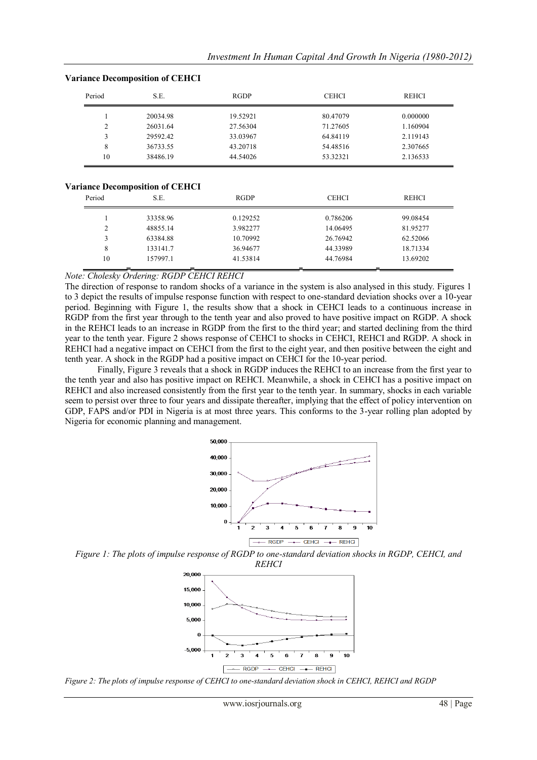| Period | S.E.     | <b>RGDP</b> | <b>CEHCI</b> | <b>REHCI</b> |
|--------|----------|-------------|--------------|--------------|
|        | 20034.98 | 19.52921    | 80.47079     | 0.000000     |
| 2      | 26031.64 | 27.56304    | 71.27605     | 1.160904     |
| 3      | 29592.42 | 33.03967    | 64.84119     | 2.119143     |
| 8      | 36733.55 | 43.20718    | 54.48516     | 2.307665     |
| 10     | 38486.19 | 44.54026    | 53.32321     | 2.136533     |

#### **Variance Decomposition of CEHCI**

#### **Variance Decomposition of CEHCI**

| Period | S.E.     | RGDP     | <b>CEHCI</b> | REHCI    |
|--------|----------|----------|--------------|----------|
|        | 33358.96 | 0.129252 | 0.786206     | 99.08454 |
|        | 48855.14 | 3.982277 | 14.06495     | 81.95277 |
|        | 63384.88 | 10.70992 | 26.76942     | 62.52066 |
| 8      | 133141.7 | 36.94677 | 44.33989     | 18.71334 |
| 10     | 157997.1 | 41.53814 | 44.76984     | 13.69202 |

# *Note: Cholesky Ordering: RGDP CEHCI REHCI*

The direction of response to random shocks of a variance in the system is also analysed in this study. Figures 1 to 3 depict the results of impulse response function with respect to one-standard deviation shocks over a 10-year period. Beginning with Figure 1, the results show that a shock in CEHCI leads to a continuous increase in RGDP from the first year through to the tenth year and also proved to have positive impact on RGDP. A shock in the REHCI leads to an increase in RGDP from the first to the third year; and started declining from the third year to the tenth year. Figure 2 shows response of CEHCI to shocks in CEHCI, REHCI and RGDP. A shock in REHCI had a negative impact on CEHCI from the first to the eight year, and then positive between the eight and tenth year. A shock in the RGDP had a positive impact on CEHCI for the 10-year period.

Finally, Figure 3 reveals that a shock in RGDP induces the REHCI to an increase from the first year to the tenth year and also has positive impact on REHCI. Meanwhile, a shock in CEHCI has a positive impact on REHCI and also increased consistently from the first year to the tenth year. In summary, shocks in each variable seem to persist over three to four years and dissipate thereafter, implying that the effect of policy intervention on GDP, FAPS and/or PDI in Nigeria is at most three years. This conforms to the 3-year rolling plan adopted by Nigeria for economic planning and management.







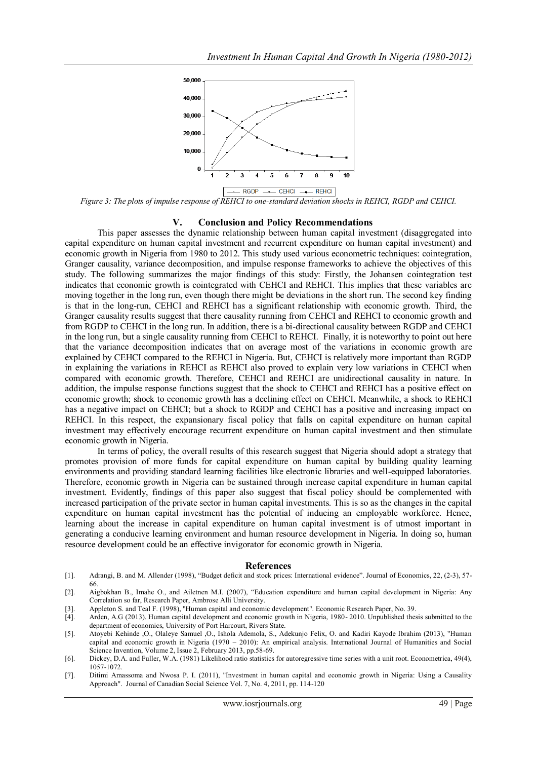

*Figure 3: The plots of impulse response of REHCI to one-standard deviation shocks in REHCI, RGDP and CEHCI.*

#### **V. Conclusion and Policy Recommendations**

This paper assesses the dynamic relationship between human capital investment (disaggregated into capital expenditure on human capital investment and recurrent expenditure on human capital investment) and economic growth in Nigeria from 1980 to 2012. This study used various econometric techniques: cointegration, Granger causality, variance decomposition, and impulse response frameworks to achieve the objectives of this study. The following summarizes the major findings of this study: Firstly, the Johansen cointegration test indicates that economic growth is cointegrated with CEHCI and REHCI. This implies that these variables are moving together in the long run, even though there might be deviations in the short run. The second key finding is that in the long-run, CEHCI and REHCI has a significant relationship with economic growth. Third, the Granger causality results suggest that there causality running from CEHCI and REHCI to economic growth and from RGDP to CEHCI in the long run. In addition, there is a bi-directional causality between RGDP and CEHCI in the long run, but a single causality running from CEHCI to REHCI. Finally, it is noteworthy to point out here that the variance decomposition indicates that on average most of the variations in economic growth are explained by CEHCI compared to the REHCI in Nigeria. But, CEHCI is relatively more important than RGDP in explaining the variations in REHCI as REHCI also proved to explain very low variations in CEHCI when compared with economic growth. Therefore, CEHCI and REHCI are unidirectional causality in nature. In addition, the impulse response functions suggest that the shock to CEHCI and REHCI has a positive effect on economic growth; shock to economic growth has a declining effect on CEHCI. Meanwhile, a shock to REHCI has a negative impact on CEHCI; but a shock to RGDP and CEHCI has a positive and increasing impact on REHCI. In this respect, the expansionary fiscal policy that falls on capital expenditure on human capital investment may effectively encourage recurrent expenditure on human capital investment and then stimulate economic growth in Nigeria.

In terms of policy, the overall results of this research suggest that Nigeria should adopt a strategy that promotes provision of more funds for capital expenditure on human capital by building quality learning environments and providing standard learning facilities like electronic libraries and well-equipped laboratories. Therefore, economic growth in Nigeria can be sustained through increase capital expenditure in human capital investment. Evidently, findings of this paper also suggest that fiscal policy should be complemented with increased participation of the private sector in human capital investments. This is so as the changes in the capital expenditure on human capital investment has the potential of inducing an employable workforce. Hence, learning about the increase in capital expenditure on human capital investment is of utmost important in generating a conducive learning environment and human resource development in Nigeria. In doing so, human resource development could be an effective invigorator for economic growth in Nigeria.

#### **References**

- [1]. Adrangi, B. and M. Allender (1998), "Budget deficit and stock prices: International evidence". Journal of Economics, 22, (2-3), 57- 66.
- [2]. Aigbokhan B., Imahe O., and Ailetnen M.I. (2007), "Education expenditure and human capital development in Nigeria: Any Correlation so far, Research Paper, Ambrose Alli University.
- [3]. Appleton S. and Teal F. (1998), "Human capital and economic development". Economic Research Paper, No. 39.
- Arden, A.G (2013). Human capital development and economic growth in Nigeria, 1980-2010. Unpublished thesis submitted to the department of economics, University of Port Harcourt, Rivers State.
- [5]. Atoyebi Kehinde ,O., Olaleye Samuel ,O., Ishola Ademola, S., Adekunjo Felix, O. and Kadiri Kayode Ibrahim (2013), "Human capital and economic growth in Nigeria (1970 – 2010): An empirical analysis. International Journal of Humanities and Social Science Invention, Volume 2, Issue 2, February 2013, pp.58-69.
- [6]. Dickey, D.A. and Fuller, W.A. (1981) Likelihood ratio statistics for autoregressive time series with a unit root. Econometrica, 49(4), 1057-1072.
- [7]. Ditimi Amassoma and Nwosa P. I. (2011), "Investment in human capital and economic growth in Nigeria: Using a Causality Approach". Journal of Canadian Social Science Vol. 7, No. 4, 2011, pp. 114-120